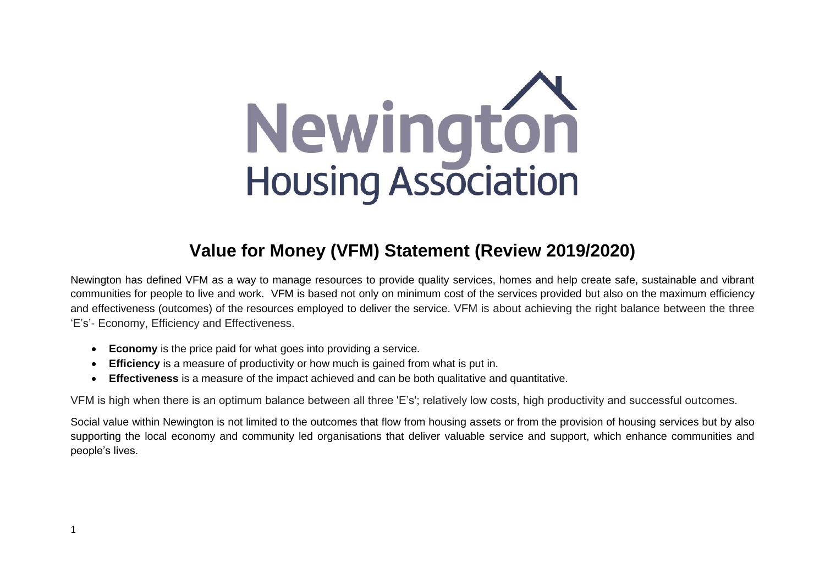

# **Value for Money (VFM) Statement (Review 2019/2020)**

Newington has defined VFM as a way to manage resources to provide quality services, homes and help create safe, sustainable and vibrant communities for people to live and work. VFM is based not only on minimum cost of the services provided but also on the maximum [efficiency](http://www.businessdictionary.com/definition/efficiency.html) and [effectiveness](http://www.businessdictionary.com/definition/effectiveness.html) (outcomes) of the resources employed to deliver the service. VFM is about achieving the right balance between the three 'E's'- Economy, Efficiency and Effectiveness.

- **Economy** is the price paid for what goes into providing a service.
- **Efficiency** is a measure of productivity or how much is gained from what is put in.
- **Effectiveness** is a measure of the impact achieved and can be both qualitative and quantitative.

VFM is high when there is an optimum balance between all three 'E's'; relatively low costs, high productivity and successful outcomes.

Social value within Newington is not limited to the outcomes that flow from housing assets or from the provision of housing services but by also supporting the local economy and community led organisations that deliver valuable service and support, which enhance communities and people's lives.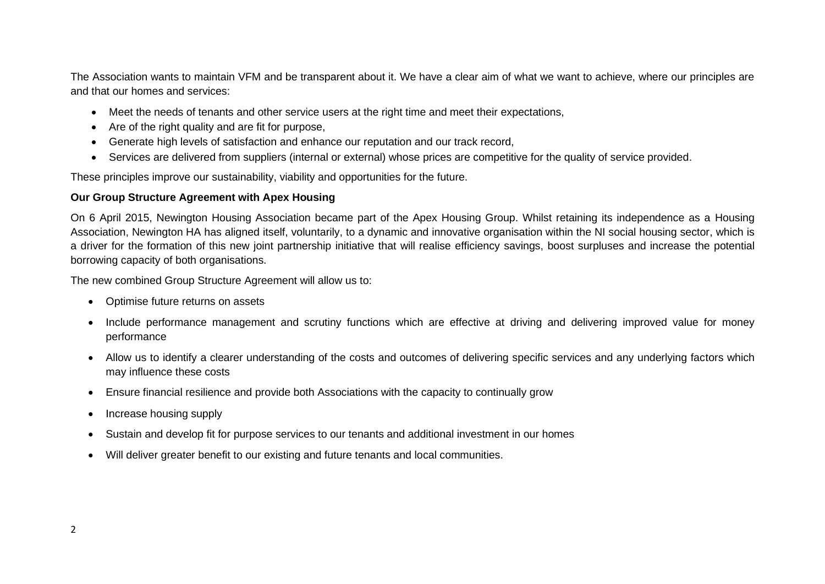The Association wants to maintain VFM and be transparent about it. We have a clear aim of what we want to achieve, where our principles are and that our homes and services:

- Meet the needs of tenants and other service users at the right time and meet their expectations,
- Are of the right quality and are fit for purpose,
- Generate high levels of satisfaction and enhance our reputation and our track record.
- Services are delivered from suppliers (internal or external) whose prices are competitive for the quality of service provided.

These principles improve our sustainability, viability and opportunities for the future.

#### **Our Group Structure Agreement with Apex Housing**

On 6 April 2015, Newington Housing Association became part of the Apex Housing Group. Whilst retaining its independence as a Housing Association, Newington HA has aligned itself, voluntarily, to a dynamic and innovative organisation within the NI social housing sector, which is a driver for the formation of this new joint partnership initiative that will realise efficiency savings, boost surpluses and increase the potential borrowing capacity of both organisations.

The new combined Group Structure Agreement will allow us to:

- Optimise future returns on assets
- Include performance management and scrutiny functions which are effective at driving and delivering improved value for money performance
- Allow us to identify a clearer understanding of the costs and outcomes of delivering specific services and any underlying factors which may influence these costs
- Ensure financial resilience and provide both Associations with the capacity to continually grow
- Increase housing supply
- Sustain and develop fit for purpose services to our tenants and additional investment in our homes
- Will deliver greater benefit to our existing and future tenants and local communities.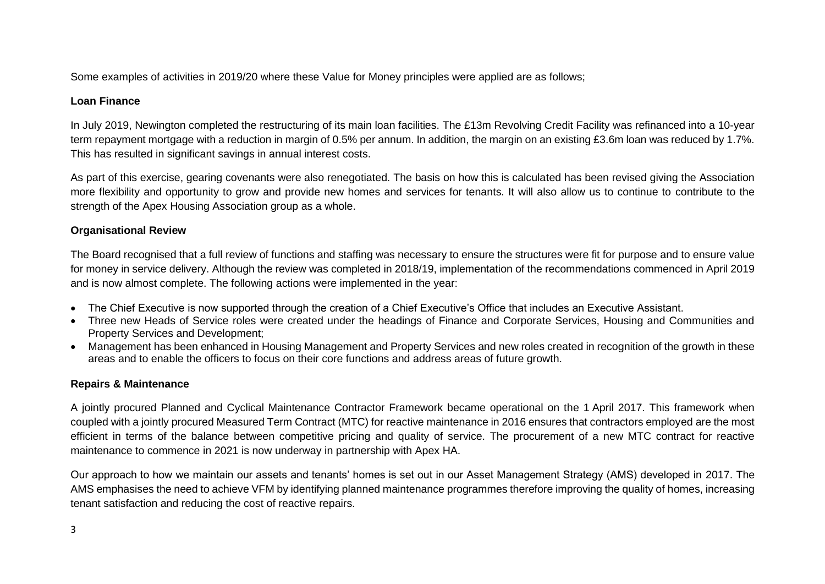Some examples of activities in 2019/20 where these Value for Money principles were applied are as follows;

# **Loan Finance**

In July 2019, Newington completed the restructuring of its main loan facilities. The £13m Revolving Credit Facility was refinanced into a 10-year term repayment mortgage with a reduction in margin of 0.5% per annum. In addition, the margin on an existing £3.6m loan was reduced by 1.7%. This has resulted in significant savings in annual interest costs.

As part of this exercise, gearing covenants were also renegotiated. The basis on how this is calculated has been revised giving the Association more flexibility and opportunity to grow and provide new homes and services for tenants. It will also allow us to continue to contribute to the strength of the Apex Housing Association group as a whole.

#### **Organisational Review**

The Board recognised that a full review of functions and staffing was necessary to ensure the structures were fit for purpose and to ensure value for money in service delivery. Although the review was completed in 2018/19, implementation of the recommendations commenced in April 2019 and is now almost complete. The following actions were implemented in the year:

- The Chief Executive is now supported through the creation of a Chief Executive's Office that includes an Executive Assistant.
- Three new Heads of Service roles were created under the headings of Finance and Corporate Services, Housing and Communities and Property Services and Development;
- Management has been enhanced in Housing Management and Property Services and new roles created in recognition of the growth in these areas and to enable the officers to focus on their core functions and address areas of future growth.

# **Repairs & Maintenance**

A jointly procured Planned and Cyclical Maintenance Contractor Framework became operational on the 1 April 2017. This framework when coupled with a jointly procured Measured Term Contract (MTC) for reactive maintenance in 2016 ensures that contractors employed are the most efficient in terms of the balance between competitive pricing and quality of service. The procurement of a new MTC contract for reactive maintenance to commence in 2021 is now underway in partnership with Apex HA.

Our approach to how we maintain our assets and tenants' homes is set out in our Asset Management Strategy (AMS) developed in 2017. The AMS emphasises the need to achieve VFM by identifying planned maintenance programmes therefore improving the quality of homes, increasing tenant satisfaction and reducing the cost of reactive repairs.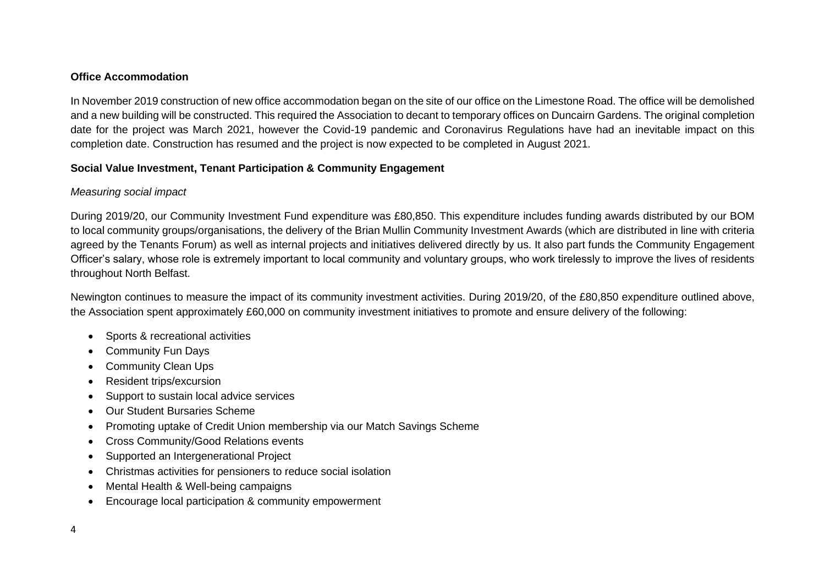#### **Office Accommodation**

In November 2019 construction of new office accommodation began on the site of our office on the Limestone Road. The office will be demolished and a new building will be constructed. This required the Association to decant to temporary offices on Duncairn Gardens. The original completion date for the project was March 2021, however the Covid-19 pandemic and Coronavirus Regulations have had an inevitable impact on this completion date. Construction has resumed and the project is now expected to be completed in August 2021.

#### **Social Value Investment, Tenant Participation & Community Engagement**

#### *Measuring social impact*

During 2019/20, our Community Investment Fund expenditure was £80,850. This expenditure includes funding awards distributed by our BOM to local community groups/organisations, the delivery of the Brian Mullin Community Investment Awards (which are distributed in line with criteria agreed by the Tenants Forum) as well as internal projects and initiatives delivered directly by us. It also part funds the Community Engagement Officer's salary, whose role is extremely important to local community and voluntary groups, who work tirelessly to improve the lives of residents throughout North Belfast.

Newington continues to measure the impact of its community investment activities. During 2019/20, of the £80,850 expenditure outlined above, the Association spent approximately £60,000 on community investment initiatives to promote and ensure delivery of the following:

- Sports & recreational activities
- Community Fun Days
- Community Clean Ups
- Resident trips/excursion
- Support to sustain local advice services
- Our Student Bursaries Scheme
- Promoting uptake of Credit Union membership via our Match Savings Scheme
- Cross Community/Good Relations events
- Supported an Intergenerational Project
- Christmas activities for pensioners to reduce social isolation
- Mental Health & Well-being campaigns
- Encourage local participation & community empowerment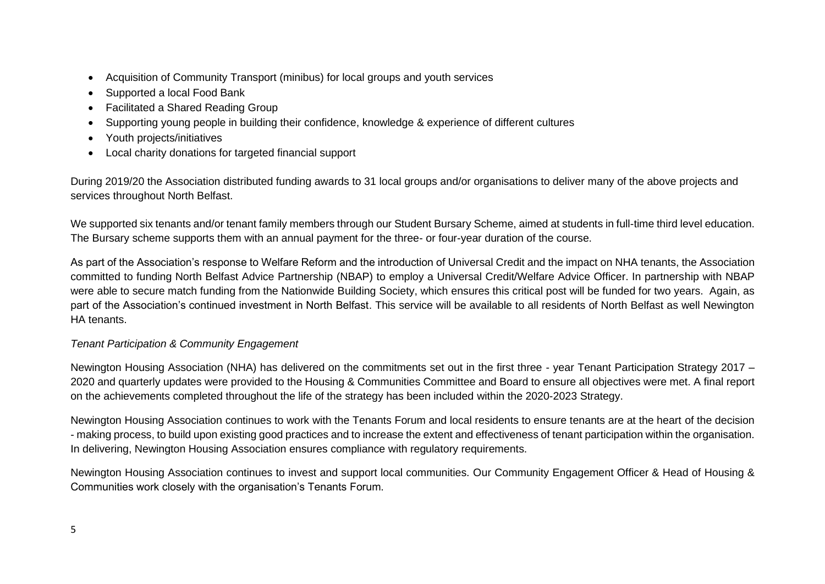- Acquisition of Community Transport (minibus) for local groups and youth services
- Supported a local Food Bank
- Facilitated a Shared Reading Group
- Supporting young people in building their confidence, knowledge & experience of different cultures
- Youth projects/initiatives
- Local charity donations for targeted financial support

During 2019/20 the Association distributed funding awards to 31 local groups and/or organisations to deliver many of the above projects and services throughout North Belfast.

We supported six tenants and/or tenant family members through our Student Bursary Scheme, aimed at students in full-time third level education. The Bursary scheme supports them with an annual payment for the three- or four-year duration of the course.

As part of the Association's response to Welfare Reform and the introduction of Universal Credit and the impact on NHA tenants, the Association committed to funding North Belfast Advice Partnership (NBAP) to employ a Universal Credit/Welfare Advice Officer. In partnership with NBAP were able to secure match funding from the Nationwide Building Society, which ensures this critical post will be funded for two years. Again, as part of the Association's continued investment in North Belfast. This service will be available to all residents of North Belfast as well Newington HA tenants.

# *Tenant Participation & Community Engagement*

Newington Housing Association (NHA) has delivered on the commitments set out in the first three - year Tenant Participation Strategy 2017 – 2020 and quarterly updates were provided to the Housing & Communities Committee and Board to ensure all objectives were met. A final report on the achievements completed throughout the life of the strategy has been included within the 2020-2023 Strategy.

Newington Housing Association continues to work with the Tenants Forum and local residents to ensure tenants are at the heart of the decision - making process, to build upon existing good practices and to increase the extent and effectiveness of tenant participation within the organisation. In delivering, Newington Housing Association ensures compliance with regulatory requirements.

Newington Housing Association continues to invest and support local communities. Our Community Engagement Officer & Head of Housing & Communities work closely with the organisation's Tenants Forum.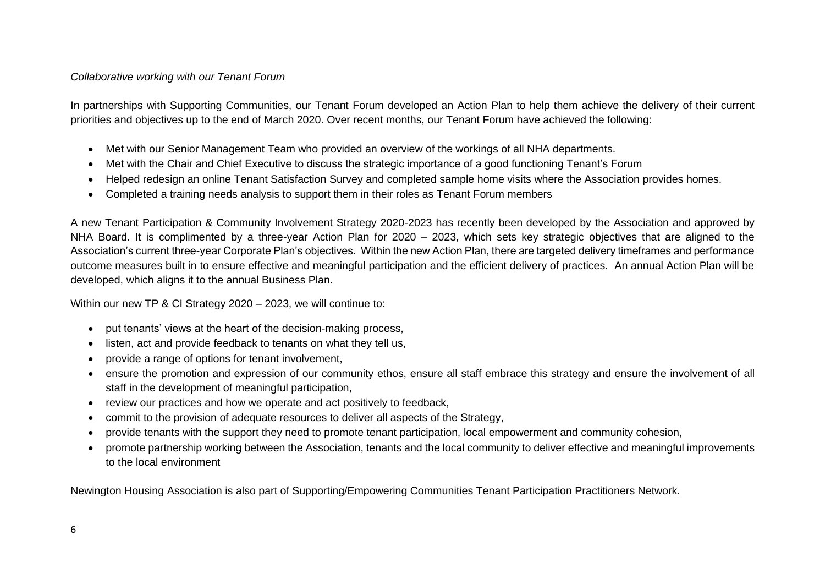#### *Collaborative working with our Tenant Forum*

In partnerships with Supporting Communities, our Tenant Forum developed an Action Plan to help them achieve the delivery of their current priorities and objectives up to the end of March 2020. Over recent months, our Tenant Forum have achieved the following:

- Met with our Senior Management Team who provided an overview of the workings of all NHA departments.
- Met with the Chair and Chief Executive to discuss the strategic importance of a good functioning Tenant's Forum
- Helped redesign an online Tenant Satisfaction Survey and completed sample home visits where the Association provides homes.
- Completed a training needs analysis to support them in their roles as Tenant Forum members

A new Tenant Participation & Community Involvement Strategy 2020-2023 has recently been developed by the Association and approved by NHA Board. It is complimented by a three-year Action Plan for 2020 – 2023, which sets key strategic objectives that are aligned to the Association's current three-year Corporate Plan's objectives. Within the new Action Plan, there are targeted delivery timeframes and performance outcome measures built in to ensure effective and meaningful participation and the efficient delivery of practices. An annual Action Plan will be developed, which aligns it to the annual Business Plan.

Within our new TP & CI Strategy 2020 – 2023, we will continue to:

- put tenants' views at the heart of the decision-making process,
- listen, act and provide feedback to tenants on what they tell us,
- provide a range of options for tenant involvement,
- ensure the promotion and expression of our community ethos, ensure all staff embrace this strategy and ensure the involvement of all staff in the development of meaningful participation,
- review our practices and how we operate and act positively to feedback,
- commit to the provision of adequate resources to deliver all aspects of the Strategy,
- provide tenants with the support they need to promote tenant participation, local empowerment and community cohesion,
- promote partnership working between the Association, tenants and the local community to deliver effective and meaningful improvements to the local environment

Newington Housing Association is also part of Supporting/Empowering Communities Tenant Participation Practitioners Network.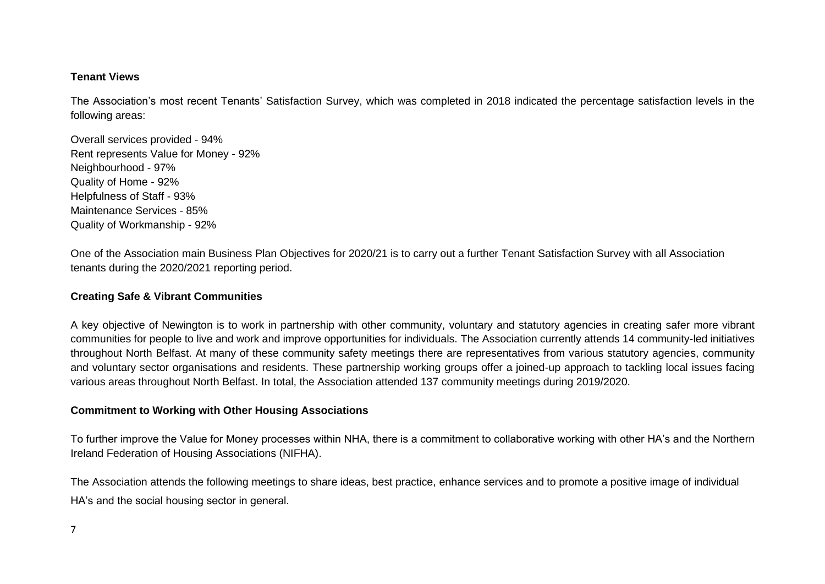#### **Tenant Views**

The Association's most recent Tenants' Satisfaction Survey, which was completed in 2018 indicated the percentage satisfaction levels in the following areas:

Overall services provided - 94% Rent represents Value for Money - 92% Neighbourhood - 97% Quality of Home - 92% Helpfulness of Staff - 93% Maintenance Services - 85% Quality of Workmanship - 92%

One of the Association main Business Plan Objectives for 2020/21 is to carry out a further Tenant Satisfaction Survey with all Association tenants during the 2020/2021 reporting period.

#### **Creating Safe & Vibrant Communities**

A key objective of Newington is to work in partnership with other community, voluntary and statutory agencies in creating safer more vibrant communities for people to live and work and improve opportunities for individuals. The Association currently attends 14 community-led initiatives throughout North Belfast. At many of these community safety meetings there are representatives from various statutory agencies, community and voluntary sector organisations and residents. These partnership working groups offer a joined-up approach to tackling local issues facing various areas throughout North Belfast. In total, the Association attended 137 community meetings during 2019/2020.

#### **Commitment to Working with Other Housing Associations**

To further improve the Value for Money processes within NHA, there is a commitment to collaborative working with other HA's and the Northern Ireland Federation of Housing Associations (NIFHA).

The Association attends the following meetings to share ideas, best practice, enhance services and to promote a positive image of individual HA's and the social housing sector in general.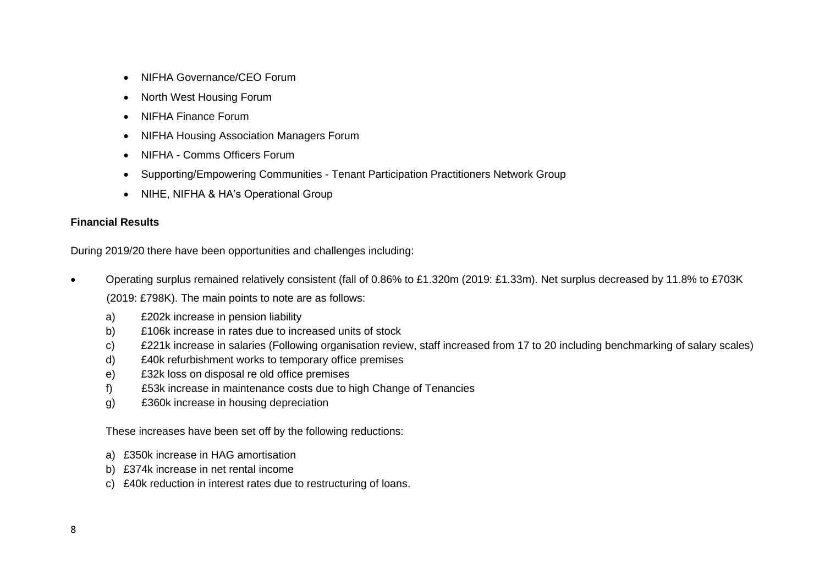- NIFHA Governance/CEO Forum
- North West Housing Forum
- NIFHA Finance Forum
- NIFHA Housing Association Managers Forum
- NIFHA Comms Officers Forum
- Supporting/Empowering Communities Tenant Participation Practitioners Network Group
- NIHE, NIFHA & HA's Operational Group

# **Financial Results**

During 2019/20 there have been opportunities and challenges including:

- Operating surplus remained relatively consistent (fall of 0.86% to £1.320m (2019: £1.33m). Net surplus decreased by 11.8% to £703K (2019: £798K). The main points to note are as follows:
	- a) £202k increase in pension liability
	- b) £106k increase in rates due to increased units of stock
	- c) £221k increase in salaries (Following organisation review, staff increased from 17 to 20 including benchmarking of salary scales)
	- d) £40k refurbishment works to temporary office premises
	- e) £32k loss on disposal re old office premises
	- f) £53k increase in maintenance costs due to high Change of Tenancies
	- g) £360k increase in housing depreciation

These increases have been set off by the following reductions:

- a) £350k increase in HAG amortisation
- b) £374k increase in net rental income
- c) £40k reduction in interest rates due to restructuring of loans.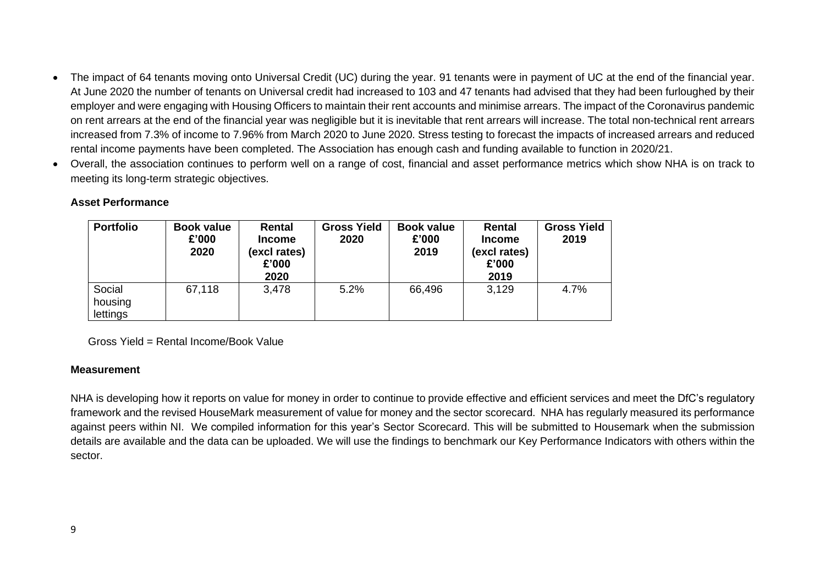- The impact of 64 tenants moving onto Universal Credit (UC) during the year. 91 tenants were in payment of UC at the end of the financial year. At June 2020 the number of tenants on Universal credit had increased to 103 and 47 tenants had advised that they had been furloughed by their employer and were engaging with Housing Officers to maintain their rent accounts and minimise arrears. The impact of the Coronavirus pandemic on rent arrears at the end of the financial year was negligible but it is inevitable that rent arrears will increase. The total non-technical rent arrears increased from 7.3% of income to 7.96% from March 2020 to June 2020. Stress testing to forecast the impacts of increased arrears and reduced rental income payments have been completed. The Association has enough cash and funding available to function in 2020/21.
- Overall, the association continues to perform well on a range of cost, financial and asset performance metrics which show NHA is on track to meeting its long-term strategic objectives.

#### **Asset Performance**

| <b>Portfolio</b>              | <b>Book value</b><br>£'000<br>2020 | Rental<br><b>Income</b><br>(excl rates)<br>£'000<br>2020 | <b>Gross Yield</b><br>2020 | <b>Book value</b><br>£'000<br>2019 | Rental<br><b>Income</b><br>(excl rates)<br>£'000<br>2019 | <b>Gross Yield</b><br>2019 |
|-------------------------------|------------------------------------|----------------------------------------------------------|----------------------------|------------------------------------|----------------------------------------------------------|----------------------------|
| Social<br>housing<br>lettings | 67,118                             | 3,478                                                    | 5.2%                       | 66,496                             | 3,129                                                    | 4.7%                       |

Gross Yield = Rental Income/Book Value

#### **Measurement**

NHA is developing how it reports on value for money in order to continue to provide effective and efficient services and meet the DfC's regulatory framework and the revised HouseMark measurement of value for money and the sector scorecard. NHA has regularly measured its performance against peers within NI. We compiled information for this year's Sector Scorecard. This will be submitted to Housemark when the submission details are available and the data can be uploaded. We will use the findings to benchmark our Key Performance Indicators with others within the sector.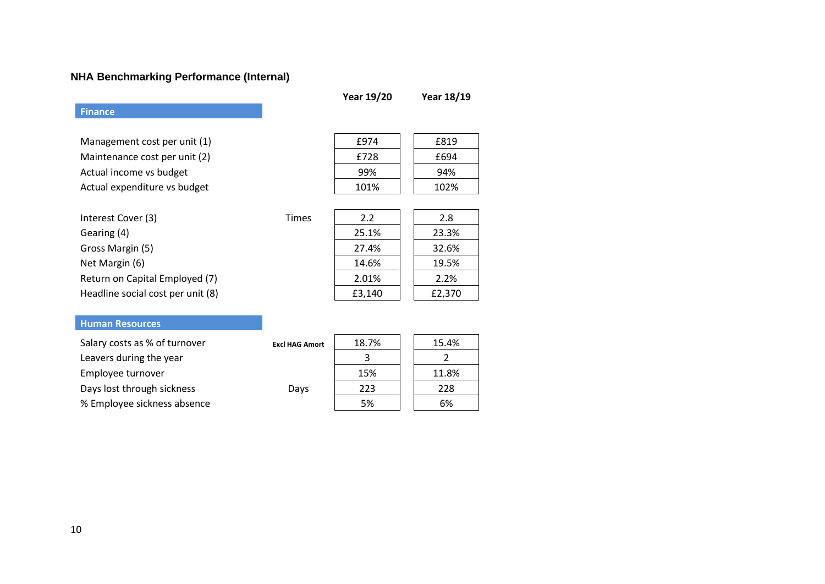# **NHA Benchmarking Performance (Internal)**

|                                   |       | <b>Year 19/20</b> | Year 18/19 |
|-----------------------------------|-------|-------------------|------------|
| <b>Finance</b>                    |       |                   |            |
|                                   |       |                   |            |
| Management cost per unit (1)      |       | £974              | £819       |
| Maintenance cost per unit (2)     |       | £728              | £694       |
| Actual income vs budget           |       | 99%               | 94%        |
| Actual expenditure vs budget      |       | 101%              | 102%       |
|                                   |       |                   |            |
| Interest Cover (3)                | Times | 2.2               | 2.8        |
| Gearing (4)                       |       | 25.1%             | 23.3%      |
| Gross Margin (5)                  |       | 27.4%             | 32.6%      |
| Net Margin (6)                    |       | 14.6%             | 19.5%      |
| Return on Capital Employed (7)    |       | 2.01%             | 2.2%       |
| Headline social cost per unit (8) |       | £3,140            | £2,370     |

# **Human Resources**

| Salary costs as % of turnover | <b>Excl HAG Amort</b> | 18.7% | 15.4% |
|-------------------------------|-----------------------|-------|-------|
| Leavers during the year       |                       |       |       |
| Employee turnover             |                       | 15%   | 11.8% |
| Days lost through sickness    | Days                  | 223   | 228   |
| % Employee sickness absence   |                       | 5%    | 6%    |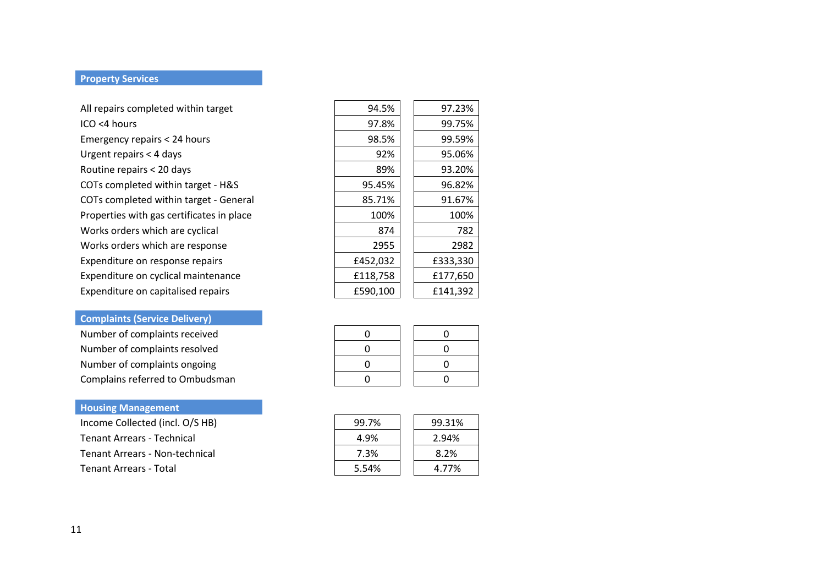#### **Property Services**

| All repairs completed within target       | 94.5%    | 97.23%   |
|-------------------------------------------|----------|----------|
| $ICO < 4$ hours                           | 97.8%    | 99.75%   |
| Emergency repairs < 24 hours              | 98.5%    | 99.59%   |
| Urgent repairs < 4 days                   | 92%      | 95.06%   |
| Routine repairs < 20 days                 | 89%      | 93.20%   |
| COTs completed within target - H&S        | 95.45%   | 96.82%   |
| COTs completed within target - General    | 85.71%   | 91.67%   |
| Properties with gas certificates in place | 100%     | 100%     |
| Works orders which are cyclical           | 874      | 782      |
| Works orders which are response           | 2955     | 2982     |
| Expenditure on response repairs           | £452,032 | £333,330 |
| Expenditure on cyclical maintenance       | £118,758 | £177,650 |
| Expenditure on capitalised repairs        | £590,100 | £141,392 |
|                                           |          |          |

# **Complaints (Service Delivery)**

| Number of complaints received   |  |  |
|---------------------------------|--|--|
| Number of complaints resolved   |  |  |
| Number of complaints ongoing    |  |  |
| Complains referred to Ombudsman |  |  |

# **Housing Management**

Income Collected (incl. O/S HB) Tenant Arrears - Technical Tenant Arrears - Non-technical Tenant Arrears - Total

| 94.5%    | 97.23%   |
|----------|----------|
| 97.8%    | 99.75%   |
| 98.5%    | 99.59%   |
| 92%      | 95.06%   |
| 89%      | 93.20%   |
| 95.45%   | 96.82%   |
| 85.71%   | 91.67%   |
| 100%     | 100%     |
| 874      | 782      |
| 2955     | 2982     |
| £452,032 | £333,330 |
| £118,758 | £177,650 |
| £590,100 | £141,392 |
|          |          |

| $\mathbf{I}$ | O |
|--------------|---|
| $\mathbf{I}$ | ŋ |
| $\mathbf{I}$ | ŋ |
|              | n |

| 99.7% | 99.31% |
|-------|--------|
| 4.9%  | 2.94%  |
| 7.3%  | 8.2%   |
| 5.54% | 4.77%  |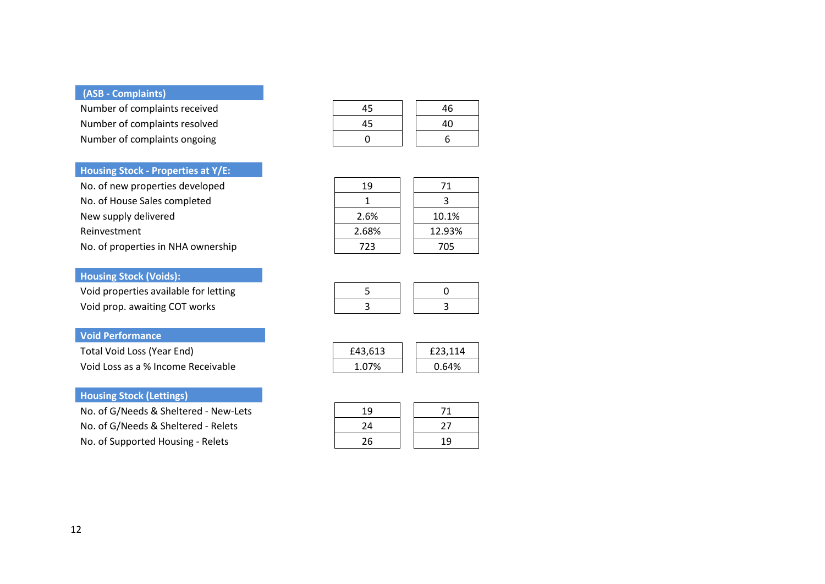#### **(ASB - Complaints)**

Number of complaints received Number of complaints resolved Number of complaints ongoing

#### **Housing Stock - Properties at Y/E:**

No. of new properties developed No. of House Sales completed New supply delivered Reinvestment

No. of properties in NHA ownership

#### **Housing Stock (Voids):**

Void properties available for letting Void prop. awaiting COT works

#### **Void Performance**

Total Void Loss (Year End) Void Loss as a % Income Receivable

#### **Housing Stock (Lettings)**

No. of G/Needs & Sheltered - New-Lets No. of G/Needs & Sheltered - Relets No. of Supported Housing - Relets

| 45 | 46 |
|----|----|
| 45 | 40 |
| n  | 6  |

| 19    | 71     |
|-------|--------|
|       | ર      |
| 2.6%  | 10.1%  |
| 2.68% | 12.93% |
| 723   | 705    |

| £43,613 | £23,114 |
|---------|---------|
| 1.07%   | 0.64%   |

| 19 | 71 |  |
|----|----|--|
| 24 | 27 |  |
| 26 | 19 |  |